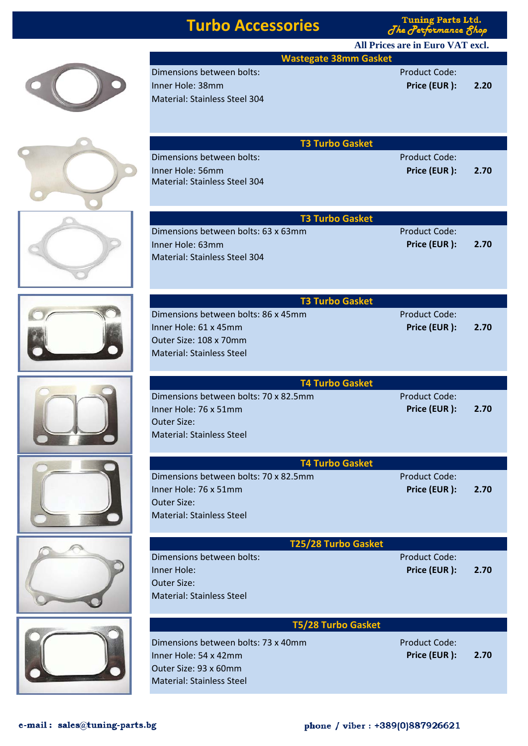| ♦ | Di<br>$\overline{\mathsf{In}}$<br>$\overline{M}$ |
|---|--------------------------------------------------|
|   | Di<br>$\overline{\mathsf{In}}$<br>M              |

 $\sim$ 

|                                                                                                                           | <b>Tuning Parts Ltd.</b><br><b>Turbo Accessories</b><br>The Performance 8hop |                      |
|---------------------------------------------------------------------------------------------------------------------------|------------------------------------------------------------------------------|----------------------|
|                                                                                                                           | All Prices are in Euro VAT excl.                                             |                      |
| <b>Wastegate 38mm Gasket</b>                                                                                              |                                                                              |                      |
| Dimensions between bolts:                                                                                                 | <b>Product Code:</b>                                                         |                      |
| Inner Hole: 38mm                                                                                                          | Price (EUR):                                                                 | 2.20                 |
| <b>Material: Stainless Steel 304</b>                                                                                      |                                                                              |                      |
| <b>T3 Turbo Gasket</b>                                                                                                    |                                                                              |                      |
| Dimensions between bolts:                                                                                                 | <b>Product Code:</b>                                                         |                      |
| Inner Hole: 56mm<br><b>Material: Stainless Steel 304</b>                                                                  | Price (EUR):                                                                 | 2.70                 |
| <b>T3 Turbo Gasket</b>                                                                                                    |                                                                              |                      |
| Dimensions between bolts: 63 x 63mm                                                                                       | <b>Product Code:</b>                                                         |                      |
| Inner Hole: 63mm<br><b>Material: Stainless Steel 304</b>                                                                  | Price (EUR):                                                                 | 2.70                 |
|                                                                                                                           |                                                                              |                      |
| <b>T3 Turbo Gasket</b><br>Dimensions between bolts: 86 x 45mm                                                             | <b>Product Code:</b>                                                         |                      |
| Inner Hole: 61 x 45mm                                                                                                     | Price (EUR):                                                                 | 2.70                 |
| Outer Size: 108 x 70mm                                                                                                    |                                                                              |                      |
| <b>Material: Stainless Steel</b>                                                                                          |                                                                              |                      |
|                                                                                                                           |                                                                              |                      |
| <b>T4 Turbo Gasket</b>                                                                                                    |                                                                              |                      |
| Dimensions between bolts: 70 x 82.5mm                                                                                     | <b>Product Code:</b>                                                         |                      |
| Inner Hole: 76 x 51mm                                                                                                     | Price (EUR):                                                                 | 2.70                 |
| Outer Size:                                                                                                               |                                                                              |                      |
| <b>Material: Stainless Steel</b>                                                                                          |                                                                              |                      |
| <b>T4 Turbo Gasket</b>                                                                                                    |                                                                              |                      |
| Dimensions between bolts: 70 x 82.5mm                                                                                     |                                                                              |                      |
|                                                                                                                           | <b>Product Code:</b>                                                         |                      |
|                                                                                                                           | Price (EUR):                                                                 |                      |
|                                                                                                                           |                                                                              |                      |
|                                                                                                                           |                                                                              |                      |
| Inner Hole: 76 x 51mm<br><b>Outer Size:</b><br><b>Material: Stainless Steel</b>                                           |                                                                              |                      |
| T25/28 Turbo Gasket<br>Dimensions between bolts:                                                                          | <b>Product Code:</b>                                                         |                      |
|                                                                                                                           | Price (EUR):                                                                 |                      |
|                                                                                                                           |                                                                              |                      |
| Inner Hole:<br><b>Outer Size:</b><br><b>Material: Stainless Steel</b>                                                     |                                                                              |                      |
| <b>T5/28 Turbo Gasket</b>                                                                                                 |                                                                              |                      |
|                                                                                                                           | <b>Product Code:</b>                                                         |                      |
|                                                                                                                           | Price (EUR):                                                                 |                      |
| Dimensions between bolts: 73 x 40mm<br>Inner Hole: 54 x 42mm<br>Outer Size: 93 x 60mm<br><b>Material: Stainless Steel</b> |                                                                              | 2.70<br>2.70<br>2.70 |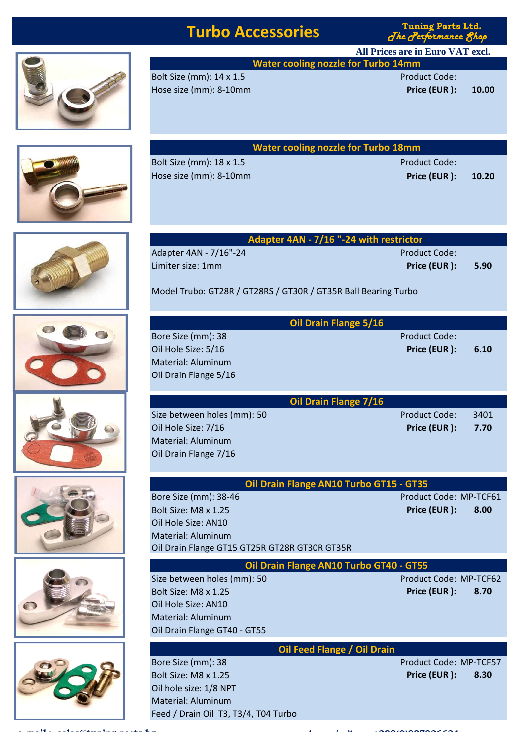## **Turbo Accessories**

**Tuning Parts Ltd.** The Performance Shop

**Water cooling nozzle for Turbo 14mm All Prices are in Euro VAT excl.**

Hose size (mm): 8-10mm **Price (EUR ): 10.00**

Bolt Size (mm): 14 x 1.5 Product Code:

|                                                    | <b>Water cooling nozzle for Turbo 18mm</b> |       |
|----------------------------------------------------|--------------------------------------------|-------|
| Bolt Size (mm): 18 x 1.5<br>Hose size (mm): 8-10mm | <b>Product Code:</b><br>Price (EUR):       | 10.20 |